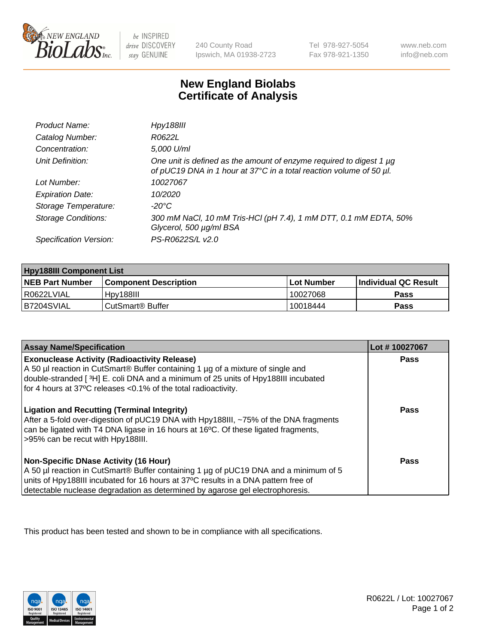

 $be$  INSPIRED drive DISCOVERY stay GENUINE

240 County Road Ipswich, MA 01938-2723 Tel 978-927-5054 Fax 978-921-1350 www.neb.com info@neb.com

## **New England Biolabs Certificate of Analysis**

| Product Name:              | Hpy188III                                                                                                                                  |
|----------------------------|--------------------------------------------------------------------------------------------------------------------------------------------|
| Catalog Number:            | R0622L                                                                                                                                     |
| Concentration:             | 5,000 U/ml                                                                                                                                 |
| Unit Definition:           | One unit is defined as the amount of enzyme required to digest 1 µg<br>of pUC19 DNA in 1 hour at 37°C in a total reaction volume of 50 µl. |
| Lot Number:                | 10027067                                                                                                                                   |
| <b>Expiration Date:</b>    | 10/2020                                                                                                                                    |
| Storage Temperature:       | -20°C                                                                                                                                      |
| <b>Storage Conditions:</b> | 300 mM NaCl, 10 mM Tris-HCl (pH 7.4), 1 mM DTT, 0.1 mM EDTA, 50%<br>Glycerol, 500 µg/ml BSA                                                |
| Specification Version:     | PS-R0622S/L v2.0                                                                                                                           |

| <b>Hpy188III Component List</b> |                              |            |                             |  |
|---------------------------------|------------------------------|------------|-----------------------------|--|
| <b>NEB Part Number</b>          | l Component Description      | Lot Number | <b>Individual QC Result</b> |  |
| I R0622LVIAL                    | Hpv188III                    | 10027068   | Pass                        |  |
| B7204SVIAL                      | CutSmart <sup>®</sup> Buffer | 10018444   | Pass                        |  |

| <b>Assay Name/Specification</b>                                                                                                                                                                                                                                                                             | Lot #10027067 |
|-------------------------------------------------------------------------------------------------------------------------------------------------------------------------------------------------------------------------------------------------------------------------------------------------------------|---------------|
| <b>Exonuclease Activity (Radioactivity Release)</b><br>A 50 µl reaction in CutSmart® Buffer containing 1 µg of a mixture of single and<br>double-stranded [3H] E. coli DNA and a minimum of 25 units of Hpy188III incubated                                                                                 | Pass          |
| for 4 hours at 37°C releases <0.1% of the total radioactivity.<br><b>Ligation and Recutting (Terminal Integrity)</b>                                                                                                                                                                                        | Pass          |
| After a 5-fold over-digestion of pUC19 DNA with Hpy188III, ~75% of the DNA fragments<br>can be ligated with T4 DNA ligase in 16 hours at 16°C. Of these ligated fragments,<br>>95% can be recut with Hpy188III.                                                                                             |               |
| <b>Non-Specific DNase Activity (16 Hour)</b><br>A 50 µl reaction in CutSmart® Buffer containing 1 µg of pUC19 DNA and a minimum of 5<br>units of Hpy188III incubated for 16 hours at 37°C results in a DNA pattern free of<br>detectable nuclease degradation as determined by agarose gel electrophoresis. | <b>Pass</b>   |

This product has been tested and shown to be in compliance with all specifications.